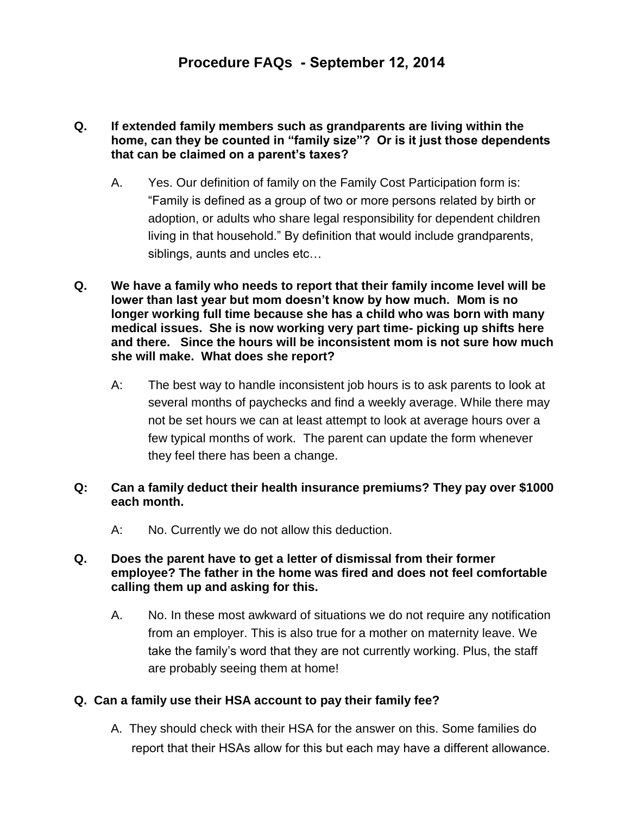## **Q. If extended family members such as grandparents are living within the home, can they be counted in "family size"? Or is it just those dependents that can be claimed on a parent's taxes?**

- A. Yes. Our definition of family on the Family Cost Participation form is: "Family is defined as a group of two or more persons related by birth or adoption, or adults who share legal responsibility for dependent children living in that household." By definition that would include grandparents, siblings, aunts and uncles etc…
- **Q. We have a family who needs to report that their family income level will be lower than last year but mom doesn't know by how much. Mom is no longer working full time because she has a child who was born with many medical issues. She is now working very part time- picking up shifts here and there. Since the hours will be inconsistent mom is not sure how much she will make. What does she report?** 
	- A: The best way to handle inconsistent job hours is to ask parents to look at several months of paychecks and find a weekly average. While there may not be set hours we can at least attempt to look at average hours over a few typical months of work. The parent can update the form whenever they feel there has been a change.

# **Q: Can a family deduct their health insurance premiums? They pay over \$1000 each month.**

A: No. Currently we do not allow this deduction.

## **Q. Does the parent have to get a letter of dismissal from their former employee? The father in the home was fired and does not feel comfortable calling them up and asking for this.**

A. No. In these most awkward of situations we do not require any notification from an employer. This is also true for a mother on maternity leave. We take the family's word that they are not currently working. Plus, the staff are probably seeing them at home!

# **Q. Can a family use their HSA account to pay their family fee?**

A. They should check with their HSA for the answer on this. Some families do report that their HSAs allow for this but each may have a different allowance.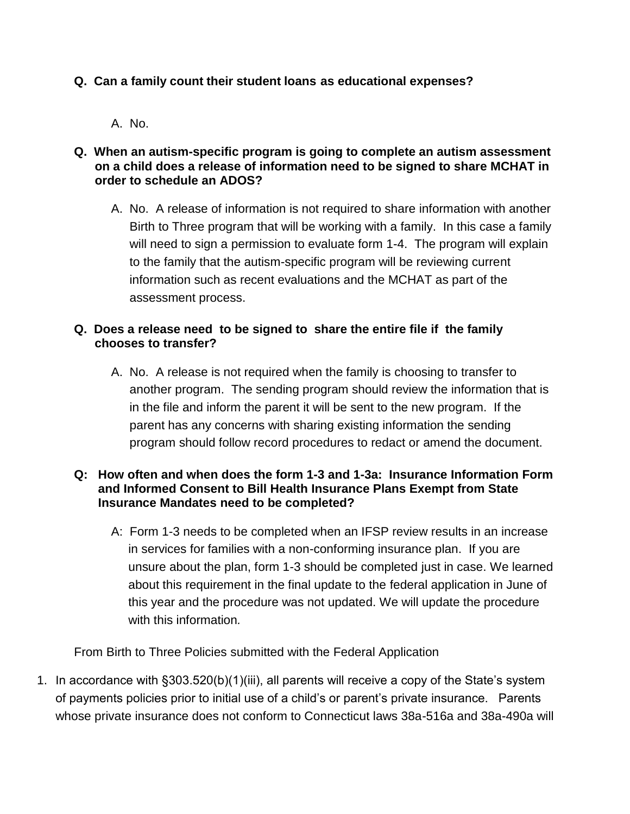# **Q. Can a family count their student loans as educational expenses?**

A. No.

#### **Q. When an autism-specific program is going to complete an autism assessment on a child does a release of information need to be signed to share MCHAT in order to schedule an ADOS?**

A. No. A release of information is not required to share information with another Birth to Three program that will be working with a family. In this case a family will need to sign a permission to evaluate form 1-4. The program will explain to the family that the autism-specific program will be reviewing current information such as recent evaluations and the MCHAT as part of the assessment process.

## **Q. Does a release need to be signed to share the entire file if the family chooses to transfer?**

A. No. A release is not required when the family is choosing to transfer to another program. The sending program should review the information that is in the file and inform the parent it will be sent to the new program. If the parent has any concerns with sharing existing information the sending program should follow record procedures to redact or amend the document.

#### **Q: How often and when does the form 1-3 and 1-3a: Insurance Information Form and Informed Consent to Bill Health Insurance Plans Exempt from State Insurance Mandates need to be completed?**

A: Form 1-3 needs to be completed when an IFSP review results in an increase in services for families with a non-conforming insurance plan. If you are unsure about the plan, form 1-3 should be completed just in case. We learned about this requirement in the final update to the federal application in June of this year and the procedure was not updated. We will update the procedure with this information*.* 

From Birth to Three Policies submitted with the Federal Application

1. In accordance with §303.520(b)(1)(iii), all parents will receive a copy of the State's system of payments policies prior to initial use of a child's or parent's private insurance. Parents whose private insurance does not conform to Connecticut laws 38a-516a and 38a-490a will